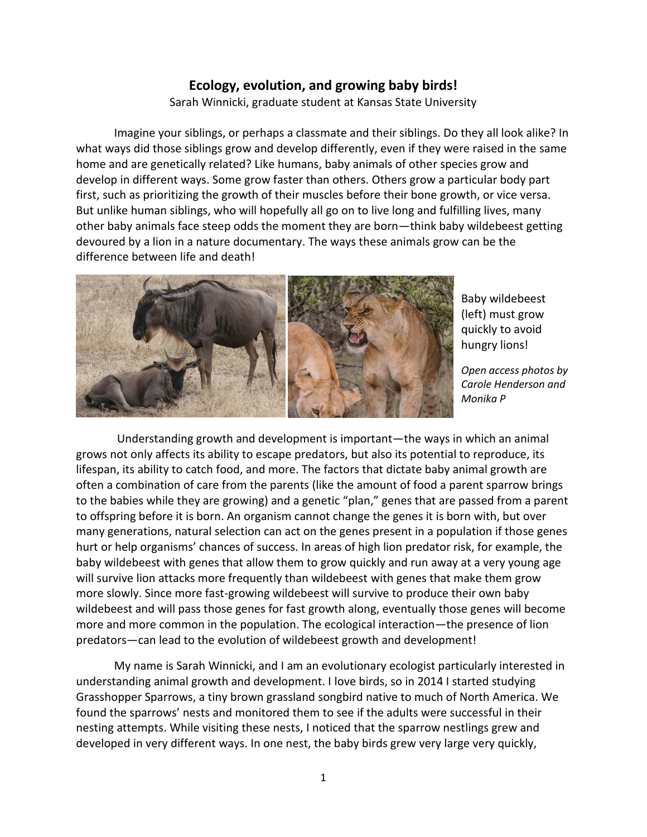## **Ecology, evolution, and growing baby birds!**

Sarah Winnicki, graduate student at Kansas State University

Imagine your siblings, or perhaps a classmate and their siblings. Do they all look alike? In what ways did those siblings grow and develop differently, even if they were raised in the same home and are genetically related? Like humans, baby animals of other species grow and develop in different ways. Some grow faster than others. Others grow a particular body part first, such as prioritizing the growth of their muscles before their bone growth, or vice versa. But unlike human siblings, who will hopefully all go on to live long and fulfilling lives, many other baby animals face steep odds the moment they are born—think baby wildebeest getting devoured by a lion in a nature documentary. The ways these animals grow can be the difference between life and death!



Baby wildebeest (left) must grow quickly to avoid hungry lions!

*Open access photos by Carole Henderson and Monika P*

Understanding growth and development is important—the ways in which an animal grows not only affects its ability to escape predators, but also its potential to reproduce, its lifespan, its ability to catch food, and more. The factors that dictate baby animal growth are often a combination of care from the parents (like the amount of food a parent sparrow brings to the babies while they are growing) and a genetic "plan," genes that are passed from a parent to offspring before it is born. An organism cannot change the genes it is born with, but over many generations, natural selection can act on the genes present in a population if those genes hurt or help organisms' chances of success. In areas of high lion predator risk, for example, the baby wildebeest with genes that allow them to grow quickly and run away at a very young age will survive lion attacks more frequently than wildebeest with genes that make them grow more slowly. Since more fast-growing wildebeest will survive to produce their own baby wildebeest and will pass those genes for fast growth along, eventually those genes will become more and more common in the population. The ecological interaction—the presence of lion predators—can lead to the evolution of wildebeest growth and development!

My name is Sarah Winnicki, and I am an evolutionary ecologist particularly interested in understanding animal growth and development. I love birds, so in 2014 I started studying Grasshopper Sparrows, a tiny brown grassland songbird native to much of North America. We found the sparrows' nests and monitored them to see if the adults were successful in their nesting attempts. While visiting these nests, I noticed that the sparrow nestlings grew and developed in very different ways. In one nest, the baby birds grew very large very quickly,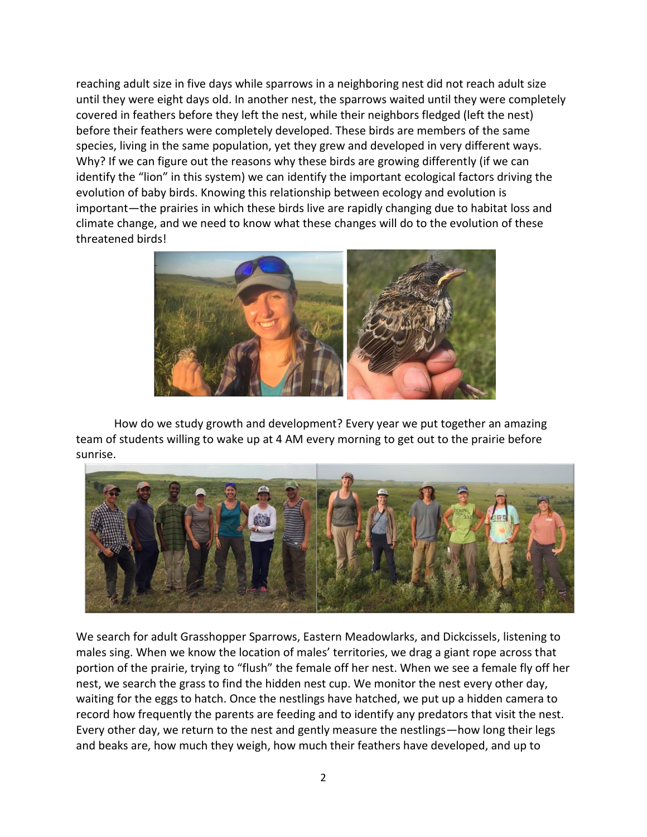reaching adult size in five days while sparrows in a neighboring nest did not reach adult size until they were eight days old. In another nest, the sparrows waited until they were completely covered in feathers before they left the nest, while their neighbors fledged (left the nest) before their feathers were completely developed. These birds are members of the same species, living in the same population, yet they grew and developed in very different ways. Why? If we can figure out the reasons why these birds are growing differently (if we can identify the "lion" in this system) we can identify the important ecological factors driving the evolution of baby birds. Knowing this relationship between ecology and evolution is important—the prairies in which these birds live are rapidly changing due to habitat loss and climate change, and we need to know what these changes will do to the evolution of these threatened birds!



How do we study growth and development? Every year we put together an amazing team of students willing to wake up at 4 AM every morning to get out to the prairie before sunrise.



We search for adult Grasshopper Sparrows, Eastern Meadowlarks, and Dickcissels, listening to males sing. When we know the location of males' territories, we drag a giant rope across that portion of the prairie, trying to "flush" the female off her nest. When we see a female fly off her nest, we search the grass to find the hidden nest cup. We monitor the nest every other day, waiting for the eggs to hatch. Once the nestlings have hatched, we put up a hidden camera to record how frequently the parents are feeding and to identify any predators that visit the nest. Every other day, we return to the nest and gently measure the nestlings—how long their legs and beaks are, how much they weigh, how much their feathers have developed, and up to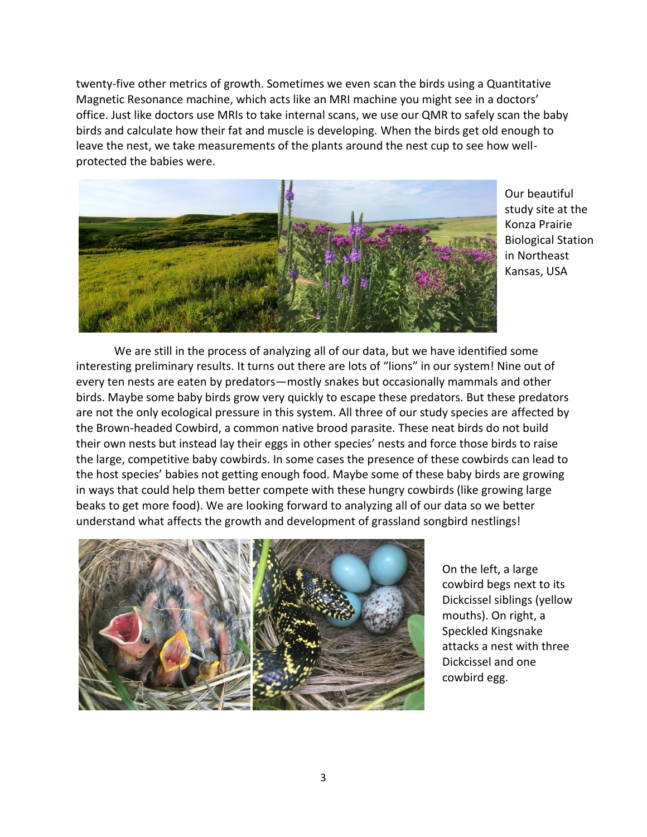twenty-five other metrics of growth. Sometimes we even scan the birds using a Quantitative Magnetic Resonance machine, which acts like an MRI machine you might see in a doctors' office. Just like doctors use MRIs to take internal scans, we use our QMR to safely scan the baby birds and calculate how their fat and muscle is developing. When the birds get old enough to leave the nest, we take measurements of the plants around the nest cup to see how wellprotected the babies were.



Our beautiful study site at the Konza Prairie Biological Station in Northeast Kansas, USA

We are still in the process of analyzing all of our data, but we have identified some interesting preliminary results. It turns out there are lots of "lions" in our system! Nine out of every ten nests are eaten by predators—mostly snakes but occasionally mammals and other birds. Maybe some baby birds grow very quickly to escape these predators. But these predators are not the only ecological pressure in this system. All three of our study species are affected by the Brown-headed Cowbird, a common native brood parasite. These neat birds do not build their own nests but instead lay their eggs in other species' nests and force those birds to raise the large, competitive baby cowbirds. In some cases the presence of these cowbirds can lead to the host species' babies not getting enough food. Maybe some of these baby birds are growing in ways that could help them better compete with these hungry cowbirds (like growing large beaks to get more food). We are looking forward to analyzing all of our data so we better understand what affects the growth and development of grassland songbird nestlings!



On the left, a large cowbird begs next to its Dickcissel siblings (yellow mouths). On right, a Speckled Kingsnake attacks a nest with three Dickcissel and one cowbird egg.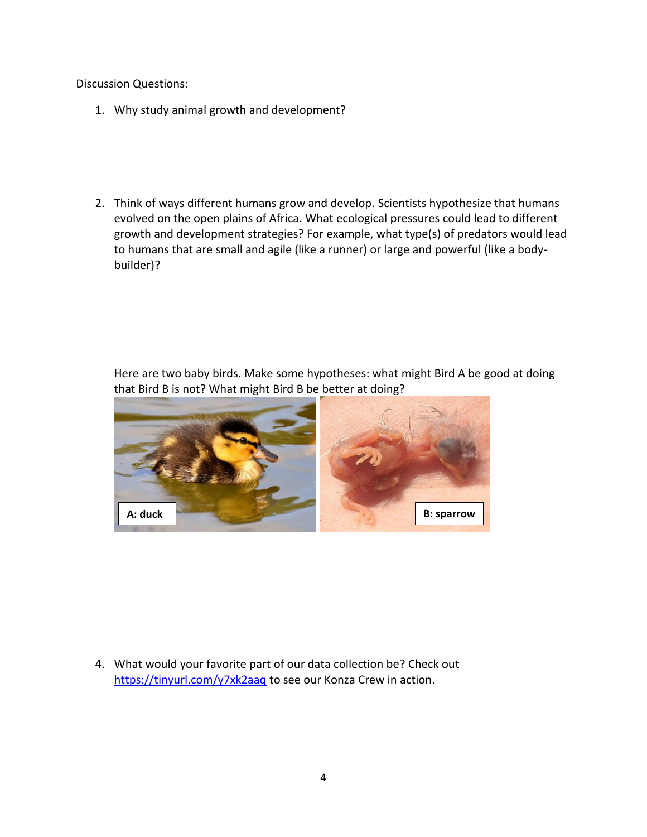Discussion Questions:

- 1. Why study animal growth and development?
- 2. Think of ways different humans grow and develop. Scientists hypothesize that humans evolved on the open plains of Africa. What ecological pressures could lead to different growth and development strategies? For example, what type(s) of predators would lead to humans that are small and agile (like a runner) or large and powerful (like a bodybuilder)?

Here are two baby birds. Make some hypotheses: what might Bird A be good at doing that Bird B is not? What might Bird B be better at doing?



4. What would your favorite part of our data collection be? Check out <https://tinyurl.com/y7xk2aaq> to see our Konza Crew in action.